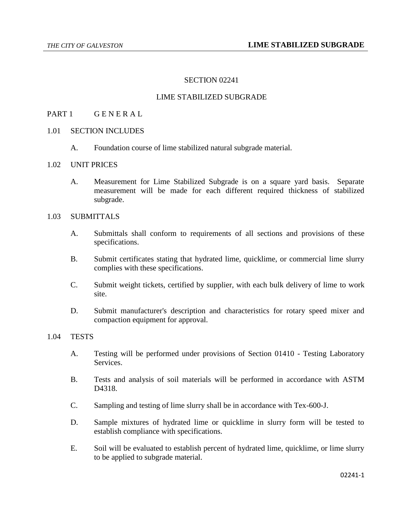## SECTION 02241

## LIME STABILIZED SUBGRADE

#### PART 1 GENERAL

#### 1.01 SECTION INCLUDES

A. Foundation course of lime stabilized natural subgrade material.

#### 1.02 UNIT PRICES

A. Measurement for Lime Stabilized Subgrade is on a square yard basis. Separate measurement will be made for each different required thickness of stabilized subgrade.

#### 1.03 SUBMITTALS

- A. Submittals shall conform to requirements of all sections and provisions of these specifications.
- B. Submit certificates stating that hydrated lime, quicklime, or commercial lime slurry complies with these specifications.
- C. Submit weight tickets, certified by supplier, with each bulk delivery of lime to work site.
- D. Submit manufacturer's description and characteristics for rotary speed mixer and compaction equipment for approval.

## 1.04 TESTS

- A. Testing will be performed under provisions of Section 01410 Testing Laboratory Services.
- B. Tests and analysis of soil materials will be performed in accordance with ASTM D<sub>4318</sub>.
- C. Sampling and testing of lime slurry shall be in accordance with Tex-600-J.
- D. Sample mixtures of hydrated lime or quicklime in slurry form will be tested to establish compliance with specifications.
- E. Soil will be evaluated to establish percent of hydrated lime, quicklime, or lime slurry to be applied to subgrade material.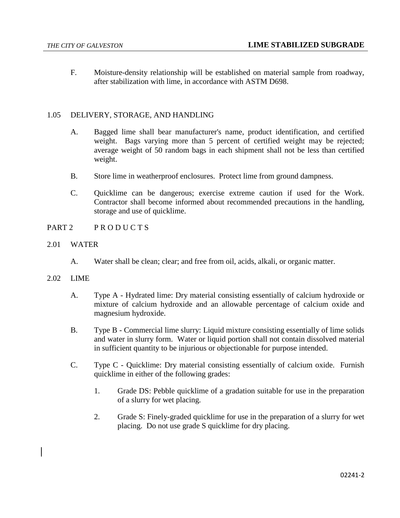F. Moisture-density relationship will be established on material sample from roadway, after stabilization with lime, in accordance with ASTM D698.

# 1.05 DELIVERY, STORAGE, AND HANDLING

- A. Bagged lime shall bear manufacturer's name, product identification, and certified weight. Bags varying more than 5 percent of certified weight may be rejected; average weight of 50 random bags in each shipment shall not be less than certified weight.
- B. Store lime in weatherproof enclosures. Protect lime from ground dampness.
- C. Quicklime can be dangerous; exercise extreme caution if used for the Work. Contractor shall become informed about recommended precautions in the handling, storage and use of quicklime.
- PART 2 PRODUCTS
- 2.01 WATER
	- A. Water shall be clean; clear; and free from oil, acids, alkali, or organic matter.
- 2.02 LIME
	- A. Type A Hydrated lime: Dry material consisting essentially of calcium hydroxide or mixture of calcium hydroxide and an allowable percentage of calcium oxide and magnesium hydroxide.
	- B. Type B Commercial lime slurry: Liquid mixture consisting essentially of lime solids and water in slurry form. Water or liquid portion shall not contain dissolved material in sufficient quantity to be injurious or objectionable for purpose intended.
	- C. Type C Quicklime: Dry material consisting essentially of calcium oxide. Furnish quicklime in either of the following grades:
		- 1. Grade DS: Pebble quicklime of a gradation suitable for use in the preparation of a slurry for wet placing.
		- 2. Grade S: Finely-graded quicklime for use in the preparation of a slurry for wet placing. Do not use grade S quicklime for dry placing.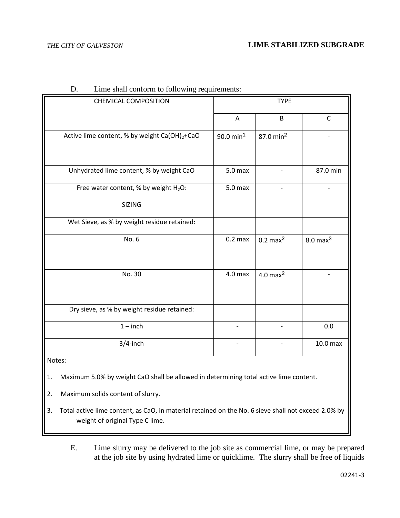| <b>CHEMICAL COMPOSITION</b>                               | <b>TYPE</b>              |                                       |                     |  |
|-----------------------------------------------------------|--------------------------|---------------------------------------|---------------------|--|
|                                                           | A                        | $\sf B$                               | C                   |  |
| Active lime content, % by weight Ca(OH) <sub>2</sub> +CaO | $90.0$ min <sup>1</sup>  | 87.0 min <sup>2</sup>                 |                     |  |
|                                                           |                          |                                       |                     |  |
| Unhydrated lime content, % by weight CaO                  | 5.0 <sub>max</sub>       |                                       | 87.0 min            |  |
| Free water content, % by weight H <sub>2</sub> O:         | 5.0 <sub>max</sub>       |                                       |                     |  |
| <b>SIZING</b>                                             |                          |                                       |                     |  |
| Wet Sieve, as % by weight residue retained:               |                          |                                       |                     |  |
| No. 6                                                     | $0.2 \text{ max}$        | $0.2$ max $^2$<br>$8.0 \text{ max}^3$ |                     |  |
|                                                           |                          |                                       |                     |  |
| No. 30                                                    | 4.0 <sub>max</sub>       | $4.0$ max $^2$                        |                     |  |
|                                                           |                          |                                       |                     |  |
| Dry sieve, as % by weight residue retained:               |                          |                                       |                     |  |
| $1$ – inch                                                | $\overline{\phantom{a}}$ | $\overline{\phantom{0}}$              | 0.0                 |  |
| $3/4$ -inch                                               |                          |                                       | 10.0 <sub>max</sub> |  |

| D. | Lime shall conform to following requirements: |  |  |  |
|----|-----------------------------------------------|--|--|--|
|    |                                               |  |  |  |

Notes:

1. Maximum 5.0% by weight CaO shall be allowed in determining total active lime content.

2. Maximum solids content of slurry.

- 3. Total active lime content, as CaO, in material retained on the No. 6 sieve shall not exceed 2.0% by weight of original Type C lime.
	- E. Lime slurry may be delivered to the job site as commercial lime, or may be prepared at the job site by using hydrated lime or quicklime. The slurry shall be free of liquids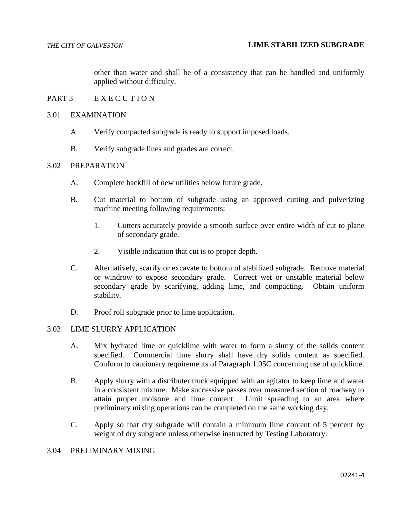other than water and shall be of a consistency that can be handled and uniformly applied without difficulty.

## PART 3 E X E C U T I O N

## 3.01 EXAMINATION

- A. Verify compacted subgrade is ready to support imposed loads.
- B. Verify subgrade lines and grades are correct.

## 3.02 PREPARATION

- A. Complete backfill of new utilities below future grade.
- B. Cut material to bottom of subgrade using an approved cutting and pulverizing machine meeting following requirements:
	- 1. Cutters accurately provide a smooth surface over entire width of cut to plane of secondary grade.
	- 2. Visible indication that cut is to proper depth.
- C. Alternatively, scarify or excavate to bottom of stabilized subgrade. Remove material or windrow to expose secondary grade. Correct wet or unstable material below secondary grade by scarifying, adding lime, and compacting. Obtain uniform stability.
- D. Proof roll subgrade prior to lime application.

#### 3.03 LIME SLURRY APPLICATION

- A. Mix hydrated lime or quicklime with water to form a slurry of the solids content specified. Commercial lime slurry shall have dry solids content as specified. Conform to cautionary requirements of Paragraph 1.05C concerning use of quicklime.
- B. Apply slurry with a distributer truck equipped with an agitator to keep lime and water in a consistent mixture. Make successive passes over measured section of roadway to attain proper moisture and lime content. Limit spreading to an area where preliminary mixing operations can be completed on the same working day.
- C. Apply so that dry subgrade will contain a minimum lime content of 5 percent by weight of dry subgrade unless otherwise instructed by Testing Laboratory.

#### 3.04 PRELIMINARY MIXING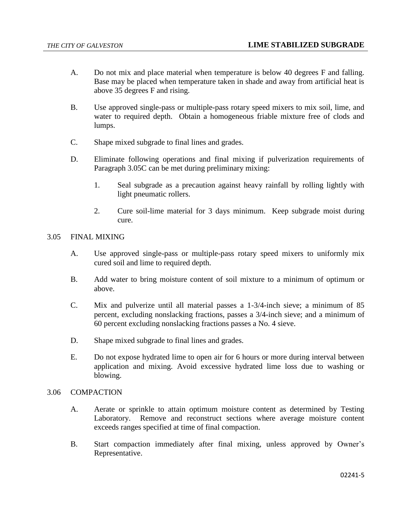- A. Do not mix and place material when temperature is below 40 degrees F and falling. Base may be placed when temperature taken in shade and away from artificial heat is above 35 degrees F and rising.
- B. Use approved single-pass or multiple-pass rotary speed mixers to mix soil, lime, and water to required depth. Obtain a homogeneous friable mixture free of clods and lumps.
- C. Shape mixed subgrade to final lines and grades.
- D. Eliminate following operations and final mixing if pulverization requirements of Paragraph 3.05C can be met during preliminary mixing:
	- 1. Seal subgrade as a precaution against heavy rainfall by rolling lightly with light pneumatic rollers.
	- 2. Cure soil-lime material for 3 days minimum. Keep subgrade moist during cure.

#### 3.05 FINAL MIXING

- A. Use approved single-pass or multiple-pass rotary speed mixers to uniformly mix cured soil and lime to required depth.
- B. Add water to bring moisture content of soil mixture to a minimum of optimum or above.
- C. Mix and pulverize until all material passes a 1-3/4-inch sieve; a minimum of 85 percent, excluding nonslacking fractions, passes a 3/4-inch sieve; and a minimum of 60 percent excluding nonslacking fractions passes a No. 4 sieve.
- D. Shape mixed subgrade to final lines and grades.
- E. Do not expose hydrated lime to open air for 6 hours or more during interval between application and mixing. Avoid excessive hydrated lime loss due to washing or blowing.

## 3.06 COMPACTION

- A. Aerate or sprinkle to attain optimum moisture content as determined by Testing Laboratory. Remove and reconstruct sections where average moisture content exceeds ranges specified at time of final compaction.
- B. Start compaction immediately after final mixing, unless approved by Owner's Representative.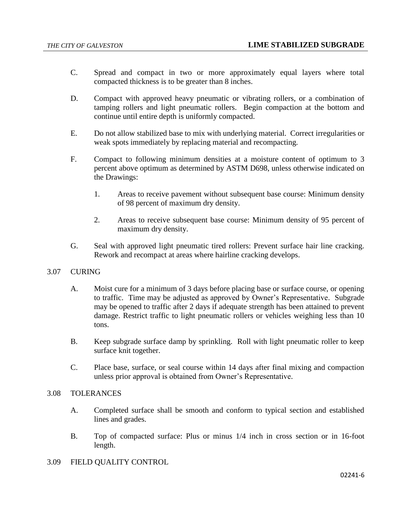- C. Spread and compact in two or more approximately equal layers where total compacted thickness is to be greater than 8 inches.
- D. Compact with approved heavy pneumatic or vibrating rollers, or a combination of tamping rollers and light pneumatic rollers. Begin compaction at the bottom and continue until entire depth is uniformly compacted.
- E. Do not allow stabilized base to mix with underlying material. Correct irregularities or weak spots immediately by replacing material and recompacting.
- F. Compact to following minimum densities at a moisture content of optimum to 3 percent above optimum as determined by ASTM D698, unless otherwise indicated on the Drawings:
	- 1. Areas to receive pavement without subsequent base course: Minimum density of 98 percent of maximum dry density.
	- 2. Areas to receive subsequent base course: Minimum density of 95 percent of maximum dry density.
- G. Seal with approved light pneumatic tired rollers: Prevent surface hair line cracking. Rework and recompact at areas where hairline cracking develops.
- 3.07 CURING
	- A. Moist cure for a minimum of 3 days before placing base or surface course, or opening to traffic. Time may be adjusted as approved by Owner's Representative. Subgrade may be opened to traffic after 2 days if adequate strength has been attained to prevent damage. Restrict traffic to light pneumatic rollers or vehicles weighing less than 10 tons.
	- B. Keep subgrade surface damp by sprinkling. Roll with light pneumatic roller to keep surface knit together.
	- C. Place base, surface, or seal course within 14 days after final mixing and compaction unless prior approval is obtained from Owner's Representative.

## 3.08 TOLERANCES

- A. Completed surface shall be smooth and conform to typical section and established lines and grades.
- B. Top of compacted surface: Plus or minus 1/4 inch in cross section or in 16-foot length.
- 3.09 FIELD QUALITY CONTROL